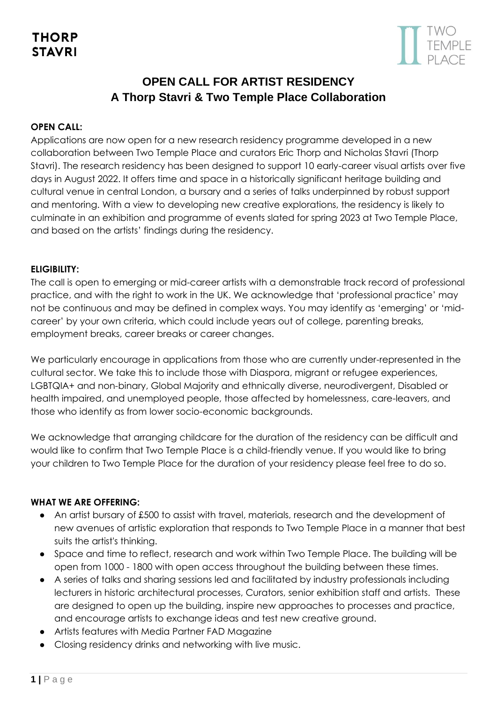

# **OPEN CALL FOR ARTIST RESIDENCY A Thorp Stavri & Two Temple Place Collaboration**

### **OPEN CALL:**

Applications are now open for a new research residency programme developed in a new collaboration between Two Temple Place and curators Eric Thorp and Nicholas Stavri (Thorp Stavri). The research residency has been designed to support 10 early-career visual artists over five days in August 2022. It offers time and space in a historically significant heritage building and cultural venue in central London, a bursary and a series of talks underpinned by robust support and mentoring. With a view to developing new creative explorations, the residency is likely to culminate in an exhibition and programme of events slated for spring 2023 at Two Temple Place, and based on the artists' findings during the residency.

### **ELIGIBILITY:**

The call is open to emerging or mid-career artists with a demonstrable track record of professional practice, and with the right to work in the UK. We acknowledge that 'professional practice' may not be continuous and may be defined in complex ways. You may identify as 'emerging' or 'midcareer' by your own criteria, which could include years out of college, parenting breaks, employment breaks, career breaks or career changes.

We particularly encourage in applications from those who are currently under-represented in the cultural sector. We take this to include those with Diaspora, migrant or refugee experiences, LGBTQIA+ and non-binary, Global Majority and ethnically diverse, neurodivergent, Disabled or health impaired, and unemployed people, those affected by homelessness, care-leavers, and those who identify as from lower socio-economic backgrounds.

We acknowledge that arranging childcare for the duration of the residency can be difficult and would like to confirm that Two Temple Place is a child-friendly venue. If you would like to bring your children to Two Temple Place for the duration of your residency please feel free to do so.

### **WHAT WE ARE OFFERING:**

- An artist bursary of £500 to assist with travel, materials, research and the development of new avenues of artistic exploration that responds to Two Temple Place in a manner that best suits the artist's thinking.
- Space and time to reflect, research and work within Two Temple Place. The building will be open from 1000 - 1800 with open access throughout the building between these times.
- A series of talks and sharing sessions led and facilitated by industry professionals including lecturers in historic architectural processes, Curators, senior exhibition staff and artists. These are designed to open up the building, inspire new approaches to processes and practice, and encourage artists to exchange ideas and test new creative ground.
- Artists features with Media Partner FAD Magazine
- Closing residency drinks and networking with live music.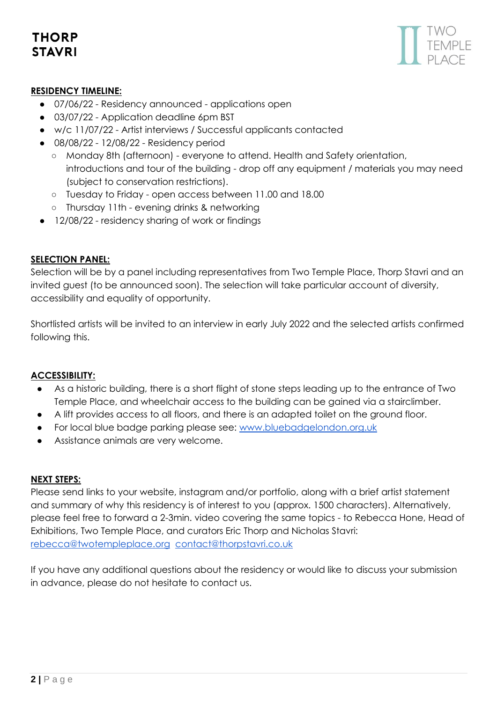# **THORP STAVRI**



# **RESIDENCY TIMELINE:**

- 07/06/22 Residency announced applications open
- 03/07/22 Application deadline 6pm BST
- w/c 11/07/22 Artist interviews / Successful applicants contacted
- 08/08/22 12/08/22 Residency period
	- Monday 8th (afternoon) everyone to attend. Health and Safety orientation, introductions and tour of the building - drop off any equipment / materials you may need (subject to conservation restrictions).
	- Tuesday to Friday open access between 11.00 and 18.00
	- Thursday 11th evening drinks & networking
- 12/08/22 residency sharing of work or findings

### **SELECTION PANEL:**

Selection will be by a panel including representatives from Two Temple Place, Thorp Stavri and an invited guest (to be announced soon). The selection will take particular account of diversity, accessibility and equality of opportunity.

Shortlisted artists will be invited to an interview in early July 2022 and the selected artists confirmed following this.

### **ACCESSIBILITY:**

- As a historic building, there is a short flight of stone steps leading up to the entrance of Two Temple Place, and wheelchair access to the building can be gained via a stairclimber.
- A lift provides access to all floors, and there is an adapted toilet on the ground floor.
- For local blue badge parking please see: [www.bluebadgelondon.org.uk](http://www.bluebadgelondon.org.uk/)
- Assistance animals are very welcome.

#### **NEXT STEPS:**

Please send links to your website, instagram and/or portfolio, along with a brief artist statement and summary of why this residency is of interest to you (approx. 1500 characters). Alternatively, please feel free to forward a 2-3min. video covering the same topics - to Rebecca Hone, Head of Exhibitions, Two Temple Place, and curators Eric Thorp and Nicholas Stavri: [rebecca@twotempleplace.org](mailto:rebecca@twotempleplace.org) [contact@thorpstavri.co.uk](mailto:contact@thorpstavri.com)

If you have any additional questions about the residency or would like to discuss your submission in advance, please do not hesitate to contact us.